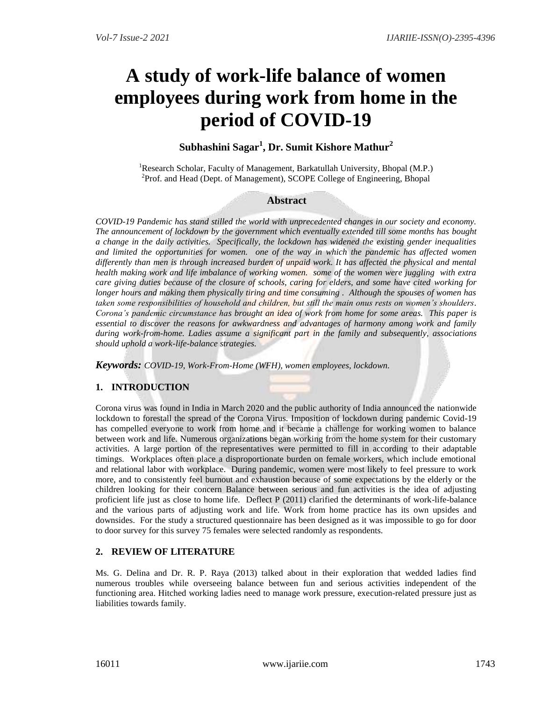# **A study of work-life balance of women employees during work from home in the period of COVID-19**

# **Subhashini Sagar<sup>1</sup> , Dr. Sumit Kishore Mathur<sup>2</sup>**

<sup>1</sup>Research Scholar, Faculty of Management, Barkatullah University, Bhopal (M.P.) <sup>2</sup>Prof. and Head (Dept. of Management), SCOPE College of Engineering, Bhopal

## **Abstract**

*COVID-19 Pandemic has stand stilled the world with unprecedented changes in our society and economy. The announcement of lockdown by the government which eventually extended till some months has bought a change in the daily activities. Specifically, the lockdown has widened the existing gender inequalities and limited the opportunities for women. one of the way in which the pandemic has affected women differently than men is through increased burden of unpaid work. It has affected the physical and mental health making work and life imbalance of working women. some of the women were juggling with extra care giving duties because of the closure of schools, caring for elders, and some have cited working for longer hours and making them physically tiring and time consuming . Although the spouses of women has taken some responsibilities of household and children, but still the main onus rests on women's shoulders. Corona's pandemic circumstance has brought an idea of work from home for some areas. This paper is essential to discover the reasons for awkwardness and advantages of harmony among work and family during work-from-home. Ladies assume a significant part in the family and subsequently, associations should uphold a work-life-balance strategies.* 

*Keywords: COVID-19, Work-From-Home (WFH), women employees, lockdown.*

## **1. INTRODUCTION**

Corona virus was found in India in March 2020 and the public authority of India announced the nationwide lockdown to forestall the spread of the Corona Virus. Imposition of lockdown during pandemic Covid-19 has compelled everyone to work from home and it became a challenge for working women to balance between work and life. Numerous organizations began working from the home system for their customary activities. A large portion of the representatives were permitted to fill in according to their adaptable timings. Workplaces often place a disproportionate burden on female workers, which include emotional and relational labor with workplace. During pandemic, women were most likely to feel pressure to work more, and to consistently feel burnout and exhaustion because of some expectations by the elderly or the children looking for their concern Balance between serious and fun activities is the idea of adjusting proficient life just as close to home life. Deflect P (2011) clarified the determinants of work-life-balance and the various parts of adjusting work and life. Work from home practice has its own upsides and downsides. For the study a structured questionnaire has been designed as it was impossible to go for door to door survey for this survey 75 females were selected randomly as respondents.

## **2. REVIEW OF LITERATURE**

Ms. G. Delina and Dr. R. P. Raya (2013) talked about in their exploration that wedded ladies find numerous troubles while overseeing balance between fun and serious activities independent of the functioning area. Hitched working ladies need to manage work pressure, execution-related pressure just as liabilities towards family.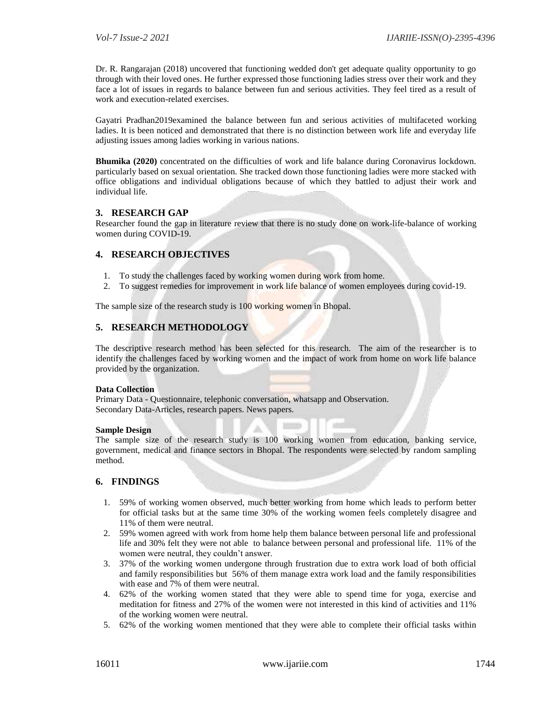Dr. R. Rangarajan (2018) uncovered that functioning wedded don't get adequate quality opportunity to go through with their loved ones. He further expressed those functioning ladies stress over their work and they face a lot of issues in regards to balance between fun and serious activities. They feel tired as a result of work and execution-related exercises.

Gayatri Pradhan2019examined the balance between fun and serious activities of multifaceted working ladies. It is been noticed and demonstrated that there is no distinction between work life and everyday life adjusting issues among ladies working in various nations.

**Bhumika (2020)** concentrated on the difficulties of work and life balance during Coronavirus lockdown. particularly based on sexual orientation. She tracked down those functioning ladies were more stacked with office obligations and individual obligations because of which they battled to adjust their work and individual life.

#### **3. RESEARCH GAP**

Researcher found the gap in literature review that there is no study done on work-life-balance of working women during COVID-19.

#### **4. RESEARCH OBJECTIVES**

- 1. To study the challenges faced by working women during work from home.
- 2. To suggest remedies for improvement in work life balance of women employees during covid-19.

The sample size of the research study is 100 working women in Bhopal.

#### **5. RESEARCH METHODOLOGY**

The descriptive research method has been selected for this research. The aim of the researcher is to identify the challenges faced by working women and the impact of work from home on work life balance provided by the organization.

#### **Data Collection**

Primary Data - Questionnaire, telephonic conversation, whatsapp and Observation. Secondary Data-Articles, research papers. News papers.

#### **Sample Design**

The sample size of the research study is 100 working women from education, banking service, government, medical and finance sectors in Bhopal. The respondents were selected by random sampling method.

#### **6. FINDINGS**

- 1. 59% of working women observed, much better working from home which leads to perform better for official tasks but at the same time 30% of the working women feels completely disagree and 11% of them were neutral.
- 2. 59% women agreed with work from home help them balance between personal life and professional life and 30% felt they were not able to balance between personal and professional life. 11% of the women were neutral, they couldn't answer.
- 3. 37% of the working women undergone through frustration due to extra work load of both official and family responsibilities but 56% of them manage extra work load and the family responsibilities with ease and 7% of them were neutral.
- 4. 62% of the working women stated that they were able to spend time for yoga, exercise and meditation for fitness and 27% of the women were not interested in this kind of activities and 11% of the working women were neutral.
- 5. 62% of the working women mentioned that they were able to complete their official tasks within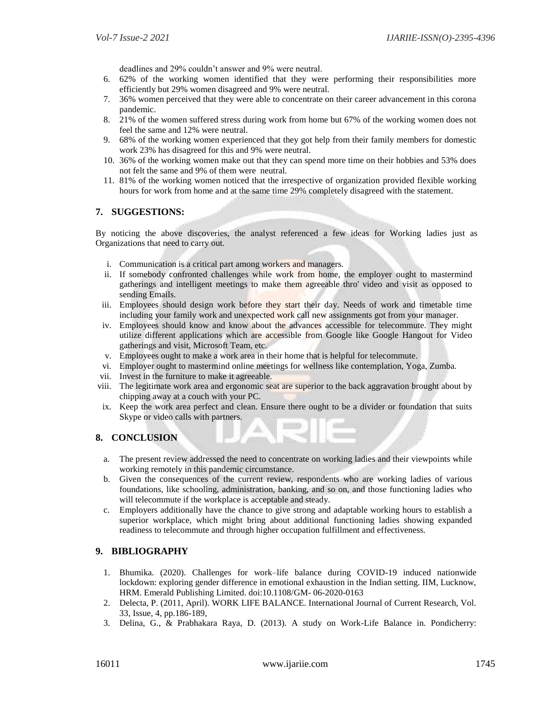deadlines and 29% couldn't answer and 9% were neutral.

- 6. 62% of the working women identified that they were performing their responsibilities more efficiently but 29% women disagreed and 9% were neutral.
- 7. 36% women perceived that they were able to concentrate on their career advancement in this corona pandemic.
- 8. 21% of the women suffered stress during work from home but 67% of the working women does not feel the same and 12% were neutral.
- 9. 68% of the working women experienced that they got help from their family members for domestic work 23% has disagreed for this and 9% were neutral.
- 10. 36% of the working women make out that they can spend more time on their hobbies and 53% does not felt the same and 9% of them were neutral.
- 11. 81% of the working women noticed that the irrespective of organization provided flexible working hours for work from home and at the same time 29% completely disagreed with the statement.

#### **7. SUGGESTIONS:**

By noticing the above discoveries, the analyst referenced a few ideas for Working ladies just as Organizations that need to carry out.

- i. Communication is a critical part among workers and managers.
- ii. If somebody confronted challenges while work from home, the employer ought to mastermind gatherings and intelligent meetings to make them agreeable thro' video and visit as opposed to sending Emails.
- iii. Employees should design work before they start their day. Needs of work and timetable time including your family work and unexpected work call new assignments got from your manager.
- iv. Employees should know and know about the advances accessible for telecommute. They might utilize different applications which are accessible from Google like Google Hangout for Video gatherings and visit, Microsoft Team, etc.
- v. Employees ought to make a work area in their home that is helpful for telecommute.
- vi. Employer ought to mastermind online meetings for wellness like contemplation, Yoga, Zumba.
- vii. Invest in the furniture to make it agreeable.
- viii. The legitimate work area and ergonomic seat are superior to the back aggravation brought about by chipping away at a couch with your PC.
- ix. Keep the work area perfect and clean. Ensure there ought to be a divider or foundation that suits Skype or video calls with partners.

#### **8. CONCLUSION**

- a. The present review addressed the need to concentrate on working ladies and their viewpoints while working remotely in this pandemic circumstance.
- b. Given the consequences of the current review, respondents who are working ladies of various foundations, like schooling, administration, banking, and so on, and those functioning ladies who will telecommute if the workplace is acceptable and steady.
- c. Employers additionally have the chance to give strong and adaptable working hours to establish a superior workplace, which might bring about additional functioning ladies showing expanded readiness to telecommute and through higher occupation fulfillment and effectiveness.

#### **9. BIBLIOGRAPHY**

- 1. Bhumika. (2020). Challenges for work–life balance during COVID-19 induced nationwide lockdown: exploring gender difference in emotional exhaustion in the Indian setting. IIM, Lucknow, HRM. Emerald Publishing Limited. doi:10.1108/GM- 06-2020-0163
- 2. Delecta, P. (2011, April). WORK LIFE BALANCE. International Journal of Current Research, Vol. 33, Issue, 4, pp.186-189,
- 3. Delina, G., & Prabhakara Raya, D. (2013). A study on Work-Life Balance in. Pondicherry: